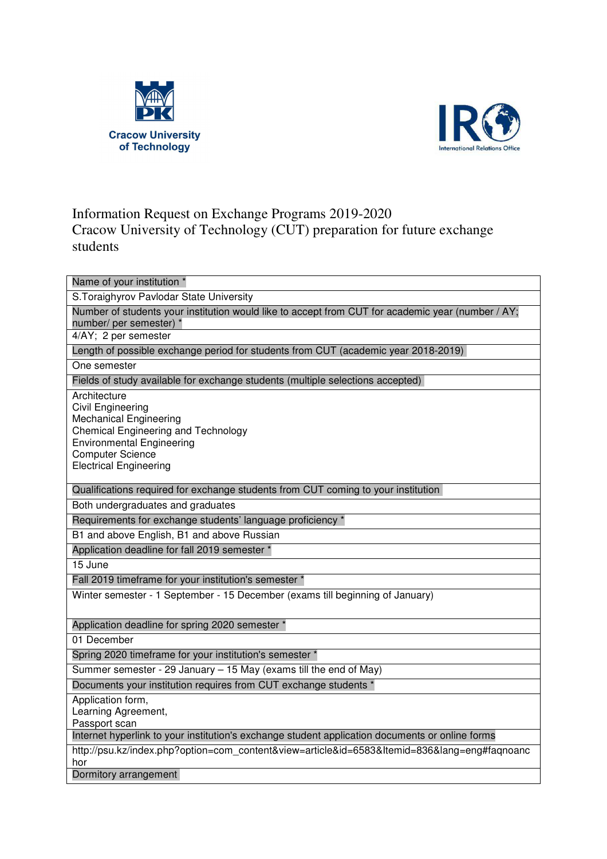



## Information Request on Exchange Programs 2019-2020

Cracow University of Technology (CUT) preparation for future exchange students

| Name of your institution *                                                                        |
|---------------------------------------------------------------------------------------------------|
| S. Toraighyrov Pavlodar State University                                                          |
| Number of students your institution would like to accept from CUT for academic year (number / AY; |
| number/ per semester) *<br>4/AY; 2 per semester                                                   |
|                                                                                                   |
| Length of possible exchange period for students from CUT (academic year 2018-2019)                |
| One semester                                                                                      |
| Fields of study available for exchange students (multiple selections accepted)                    |
| Architecture                                                                                      |
| Civil Engineering<br><b>Mechanical Engineering</b>                                                |
| <b>Chemical Engineering and Technology</b>                                                        |
| <b>Environmental Engineering</b>                                                                  |
| <b>Computer Science</b>                                                                           |
| <b>Electrical Engineering</b>                                                                     |
|                                                                                                   |
| Qualifications required for exchange students from CUT coming to your institution                 |
| Both undergraduates and graduates                                                                 |
| Requirements for exchange students' language proficiency *                                        |
| B1 and above English, B1 and above Russian                                                        |
| Application deadline for fall 2019 semester *                                                     |
| 15 June                                                                                           |
| Fall 2019 timeframe for your institution's semester *                                             |
| Winter semester - 1 September - 15 December (exams till beginning of January)                     |
|                                                                                                   |
| Application deadline for spring 2020 semester *                                                   |
| 01 December                                                                                       |
| Spring 2020 timeframe for your institution's semester *                                           |
| Summer semester - 29 January – 15 May (exams till the end of May)                                 |
| Documents your institution requires from CUT exchange students *                                  |
| Application form,                                                                                 |
| Learning Agreement,                                                                               |
| Passport scan                                                                                     |
| Internet hyperlink to your institution's exchange student application documents or online forms   |
| http://psu.kz/index.php?option=com_content&view=article&id=6583&Itemid=836⟨=eng#faqnoanc          |
| hor<br>Dormitory arrangement                                                                      |
|                                                                                                   |
|                                                                                                   |